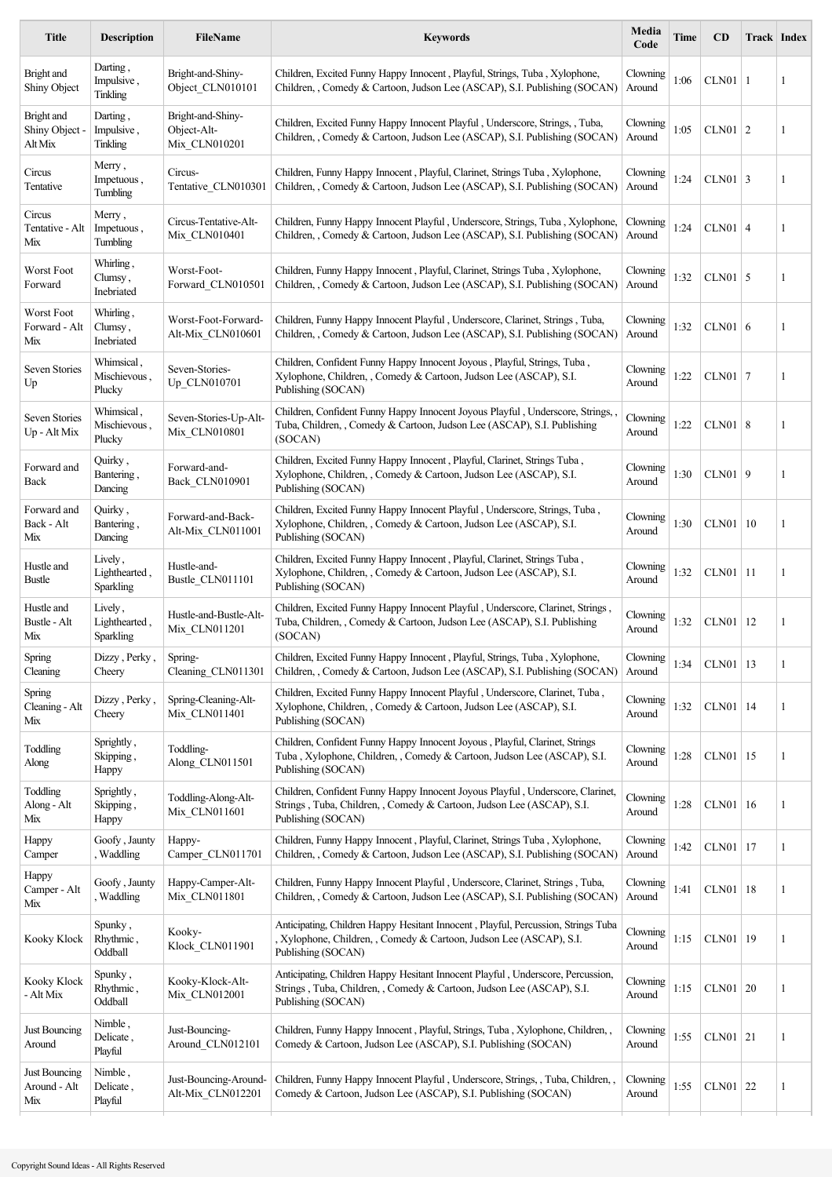| <b>Title</b>                            | <b>Description</b>                    | <b>FileName</b>                                   | <b>Keywords</b>                                                                                                                                                                | Media<br>Code      | Time | CD           | Track Index |   |
|-----------------------------------------|---------------------------------------|---------------------------------------------------|--------------------------------------------------------------------------------------------------------------------------------------------------------------------------------|--------------------|------|--------------|-------------|---|
| Bright and<br>Shiny Object              | Darting,<br>Impulsive,<br>Tinkling    | Bright-and-Shiny-<br>Object CLN010101             | Children, Excited Funny Happy Innocent, Playful, Strings, Tuba, Xylophone,<br>Children, , Comedy & Cartoon, Judson Lee (ASCAP), S.I. Publishing (SOCAN)                        | Clowning<br>Around | 1:06 | $CLN01$   1  |             | 1 |
| Bright and<br>Shiny Object -<br>Alt Mix | Darting,<br>Impulsive,<br>Tinkling    | Bright-and-Shiny-<br>Object-Alt-<br>Mix CLN010201 | Children, Excited Funny Happy Innocent Playful, Underscore, Strings, , Tuba,<br>Children, , Comedy & Cartoon, Judson Lee (ASCAP), S.I. Publishing (SOCAN)                      | Clowning<br>Around | 1:05 | $CLN01$   2  |             | 1 |
| Circus<br>Tentative                     | Merry,<br>Impetuous,<br>Tumbling      | Circus-<br>Tentative_CLN010301                    | Children, Funny Happy Innocent, Playful, Clarinet, Strings Tuba, Xylophone,<br>Children, , Comedy & Cartoon, Judson Lee (ASCAP), S.I. Publishing (SOCAN)                       | Clowning<br>Around | 1:24 | $CLN01$ 3    |             | 1 |
| Circus<br>Tentative - Alt<br>Mix        | Merry,<br>Impetuous,<br>Tumbling      | Circus-Tentative-Alt-<br>Mix CLN010401            | Children, Funny Happy Innocent Playful, Underscore, Strings, Tuba, Xylophone,<br>Children, Comedy & Cartoon, Judson Lee (ASCAP), S.I. Publishing (SOCAN)                       | Clowning<br>Around | 1:24 | $CLN01$ 4    |             | 1 |
| Worst Foot<br>Forward                   | Whirling,<br>Clumsy,<br>Inebriated    | Worst-Foot-<br>Forward CLN010501                  | Children, Funny Happy Innocent, Playful, Clarinet, Strings Tuba, Xylophone,<br>Children, Comedy & Cartoon, Judson Lee (ASCAP), S.I. Publishing (SOCAN)                         | Clowning<br>Around | 1:32 | $CLN01$ 5    |             | 1 |
| Worst Foot<br>Forward - Alt<br>Mix      | Whirling,<br>Clumsy,<br>Inebriated    | Worst-Foot-Forward-<br>Alt-Mix_CLN010601          | Children, Funny Happy Innocent Playful, Underscore, Clarinet, Strings, Tuba,<br>Children, , Comedy & Cartoon, Judson Lee (ASCAP), S.I. Publishing (SOCAN)                      | Clowning<br>Around | 1:32 | $CLN01$ 6    |             | 1 |
| Seven Stories<br>Up                     | Whimsical,<br>Mischievous,<br>Plucky  | Seven-Stories-<br>Up_CLN010701                    | Children, Confident Funny Happy Innocent Joyous , Playful, Strings, Tuba,<br>Xylophone, Children, Comedy & Cartoon, Judson Lee (ASCAP), S.I.<br>Publishing (SOCAN)             | Clowning<br>Around | 1:22 | $CLN01$   7  |             | 1 |
| Seven Stories<br>Up - Alt Mix           | Whimsical,<br>Mischievous,<br>Plucky  | Seven-Stories-Up-Alt-<br>Mix CLN010801            | Children, Confident Funny Happy Innocent Joyous Playful, Underscore, Strings,<br>Tuba, Children, , Comedy & Cartoon, Judson Lee (ASCAP), S.I. Publishing<br>(SOCAN)            | Clowning<br>Around | 1:22 | $CLN01$   8  |             | 1 |
| Forward and<br>Back                     | Quirky,<br>Bantering,<br>Dancing      | Forward-and-<br>Back_CLN010901                    | Children, Excited Funny Happy Innocent, Playful, Clarinet, Strings Tuba,<br>Xylophone, Children, Comedy & Cartoon, Judson Lee (ASCAP), S.I.<br>Publishing (SOCAN)              | Clowning<br>Around | 1:30 | CLN01   9    |             | 1 |
| Forward and<br>Back - Alt<br>Mix        | Quirky,<br>Bantering,<br>Dancing      | Forward-and-Back-<br>Alt-Mix_CLN011001            | Children, Excited Funny Happy Innocent Playful, Underscore, Strings, Tuba,<br>Xylophone, Children, , Comedy & Cartoon, Judson Lee (ASCAP), S.I.<br>Publishing (SOCAN)          | Clowning<br>Around | 1:30 | $CLN01$   10 |             | 1 |
| Hustle and<br>Bustle                    | Lively,<br>Lighthearted,<br>Sparkling | Hustle-and-<br>Bustle CLN011101                   | Children, Excited Funny Happy Innocent, Playful, Clarinet, Strings Tuba,<br>Xylophone, Children, , Comedy & Cartoon, Judson Lee (ASCAP), S.I.<br>Publishing (SOCAN)            | Clowning<br>Around | 1:32 | $CLN01$   11 |             | 1 |
| Hustle and<br>Bustle - Alt<br>Mix       | Lively,<br>Lighthearted,<br>Sparkling | Hustle-and-Bustle-Alt-<br>Mix_CLN011201           | Children, Excited Funny Happy Innocent Playful, Underscore, Clarinet, Strings.<br>Tuba, Children, , Comedy & Cartoon, Judson Lee (ASCAP), S.I. Publishing<br>(SOCAN)           | Clowning<br>Around | 1:32 | $CLN01$   12 |             | 1 |
| Spring<br>Cleaning                      | Dizzy, Perky,<br>Cheery               | Spring-<br>Cleaning CLN011301                     | Children, Excited Funny Happy Innocent, Playful, Strings, Tuba, Xylophone,<br>Children, Comedy & Cartoon, Judson Lee (ASCAP), S.I. Publishing (SOCAN)                          | Clowning<br>Around | 1:34 | $CLN01$ 13   |             | 1 |
| Spring<br>Cleaning - Alt<br>Mix         | Dizzy, Perky,<br>Cheery               | Spring-Cleaning-Alt-<br>Mix_CLN011401             | Children, Excited Funny Happy Innocent Playful, Underscore, Clarinet, Tuba,<br>Xylophone, Children, , Comedy & Cartoon, Judson Lee (ASCAP), S.I.<br>Publishing (SOCAN)         | Clowning<br>Around | 1:32 | CLN01   14   |             | 1 |
| Toddling<br>Along                       | Sprightly,<br>Skipping,<br>Happy      | Toddling-<br>Along_CLN011501                      | Children, Confident Funny Happy Innocent Joyous , Playful, Clarinet, Strings<br>Tuba, Xylophone, Children, , Comedy & Cartoon, Judson Lee (ASCAP), S.I.<br>Publishing (SOCAN)  | Clowning<br>Around | 1:28 | CLN01   15   |             | 1 |
| Toddling<br>Along - Alt<br>Mix          | Sprightly,<br>Skipping,<br>Happy      | Toddling-Along-Alt-<br>Mix_CLN011601              | Children, Confident Funny Happy Innocent Joyous Playful, Underscore, Clarinet,<br>Strings, Tuba, Children, , Comedy & Cartoon, Judson Lee (ASCAP), S.I.<br>Publishing (SOCAN)  | Clowning<br>Around | 1:28 | CLN01   16   |             | 1 |
| Happy<br>Camper                         | Goofy, Jaunty<br>, Waddling           | Happy-<br>Camper_CLN011701                        | Children, Funny Happy Innocent, Playful, Clarinet, Strings Tuba, Xylophone,<br>Children, , Comedy & Cartoon, Judson Lee (ASCAP), S.I. Publishing (SOCAN)                       | Clowning<br>Around | 1:42 | $CLN01$   17 |             | 1 |
| Happy<br>Camper - Alt<br>Mix            | Goofy, Jaunty<br>, Waddling           | Happy-Camper-Alt-<br>Mix_CLN011801                | Children, Funny Happy Innocent Playful, Underscore, Clarinet, Strings, Tuba,<br>Children, , Comedy & Cartoon, Judson Lee (ASCAP), S.I. Publishing (SOCAN)                      | Clowning<br>Around | 1:41 | CLN01   18   |             | 1 |
| Kooky Klock                             | Spunky,<br>Rhythmic,<br>Oddball       | Kooky-<br>Klock_CLN011901                         | Anticipating, Children Happy Hesitant Innocent, Playful, Percussion, Strings Tuba<br>, Xylophone, Children, , Comedy & Cartoon, Judson Lee (ASCAP), S.I.<br>Publishing (SOCAN) | Clowning<br>Around | 1:15 | CLN01   19   |             | 1 |
| Kooky Klock<br>- Alt Mix                | Spunky,<br>Rhythmic,<br>Oddball       | Kooky-Klock-Alt-<br>Mix_CLN012001                 | Anticipating, Children Happy Hesitant Innocent Playful, Underscore, Percussion,<br>Strings, Tuba, Children, , Comedy & Cartoon, Judson Lee (ASCAP), S.I.<br>Publishing (SOCAN) | Clowning<br>Around | 1:15 | $CLN01$ 20   |             | 1 |
| Just Bouncing<br>Around                 | Nimble,<br>Delicate,<br>Playful       | Just-Bouncing-<br>Around CLN012101                | Children, Funny Happy Innocent, Playful, Strings, Tuba, Xylophone, Children,,<br>Comedy & Cartoon, Judson Lee (ASCAP), S.I. Publishing (SOCAN)                                 | Clowning<br>Around | 1:55 | $CLN01$ 21   |             | 1 |
| Just Bouncing<br>Around - Alt<br>Mix    | Nimble,<br>Delicate,<br>Playful       | Just-Bouncing-Around-<br>Alt-Mix_CLN012201        | Children, Funny Happy Innocent Playful, Underscore, Strings, , Tuba, Children, ,<br>Comedy & Cartoon, Judson Lee (ASCAP), S.I. Publishing (SOCAN)                              | Clowning<br>Around | 1:55 | $CLN01$ 22   |             | 1 |